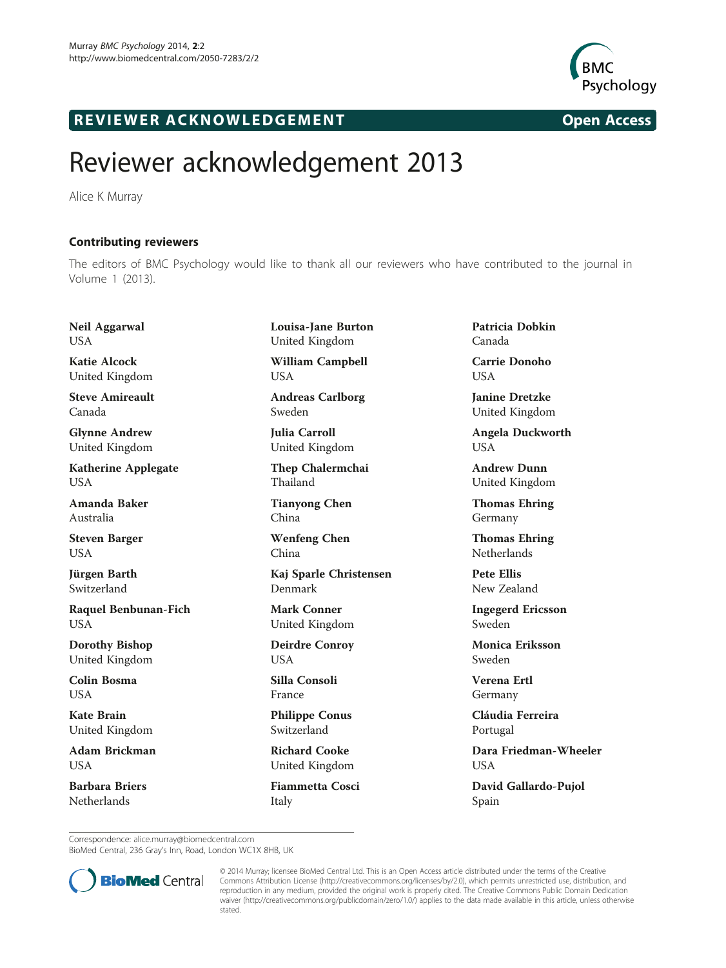

## R EVI EW E R ACKNOW L EDG EM EN T Open Access

## Reviewer acknowledgement 2013

Alice K Murray

Contributing reviewers The editors of BMC Psychology would like to thank all our reviewers who have contributed to the journal in Volume 1 (2013).

Neil Aggarwal USA

Katie Alcock United Kingdom

Steve Amireault Canada

Glynne Andrew United Kingdom

Katherine Applegate **I** IS A

Amanda Baker Australia

Steven Barger USA

Jürgen Barth Switzerland

Raquel Benbunan-Fich **USA** 

Dorothy Bishop United Kingdom

Colin Bosma **I** IS A

Kate Brain United Kingdom

Adam Brickman USA

Barbara Briers **Netherlands** 

Louisa-Jane Burton United Kingdom William Campbell

USA Andreas Carlborg

Sweden

Julia Carroll United Kingdom

Thep Chalermchai Thailand

Tianyong Chen China

Wenfeng Chen China

Kaj Sparle Christensen Denmark

Mark Conner United Kingdom

Deirdre Conroy USA

Silla Consoli France

Philippe Conus Switzerland

Richard Cooke United Kingdom

Fiammetta Cosci Italy

Patricia Dobkin Canada

Carrie Donoho USA

Janine Dretzke United Kingdom

Angela Duckworth USA

Andrew Dunn United Kingdom

Thomas Ehring Germany

Thomas Ehring Netherlands

Pete Ellis New Zealand

Ingegerd Ericsson Sweden

Monica Eriksson Sweden

Verena Ertl Germany

Cláudia Ferreira Portugal

Dara Friedman-Wheeler **USA** 

David Gallardo-Pujol Spain

Correspondence: [alice.murray@biomedcentral.com](mailto:alice.murray@biomedcentral.com)

BioMed Central, 236 Gray's Inn, Road, London WC1X 8HB, UK



© 2014 Murray; licensee BioMed Central Ltd. This is an Open Access article distributed under the terms of the Creative Commons Attribution License [\(http://creativecommons.org/licenses/by/2.0\)](http://creativecommons.org/licenses/by/2.0), which permits unrestricted use, distribution, and reproduction in any medium, provided the original work is properly cited. The Creative Commons Public Domain Dedication waiver [\(http://creativecommons.org/publicdomain/zero/1.0/\)](http://creativecommons.org/publicdomain/zero/1.0/) applies to the data made available in this article, unless otherwise stated.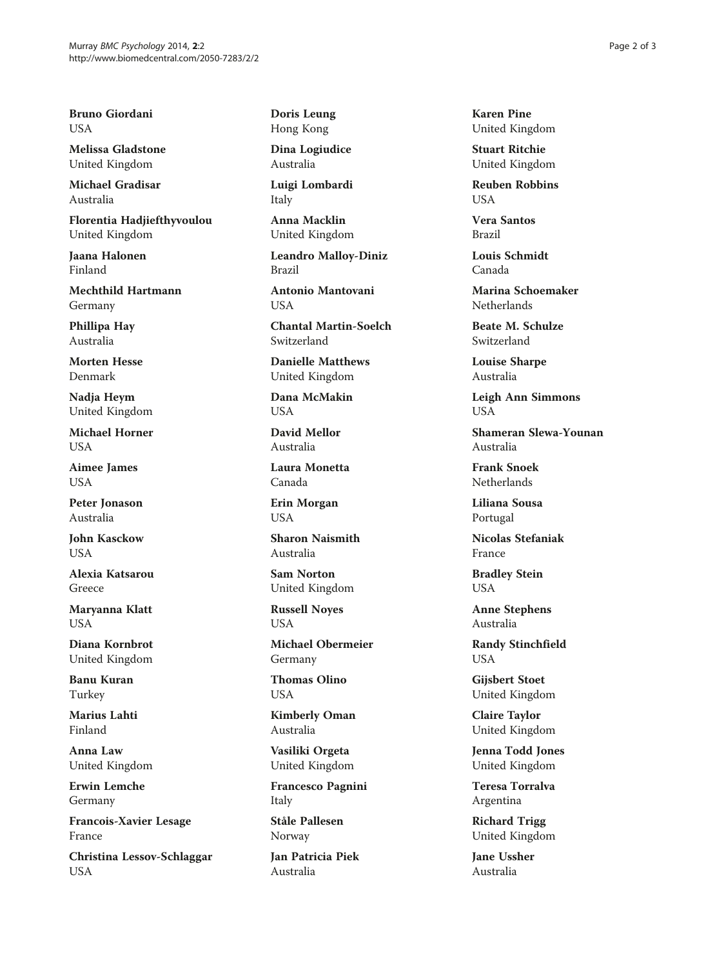Bruno Giordani USA

Melissa Gladstone United Kingdom

Michael Gradisar Australia

Florentia Hadjiefthyvoulou United Kingdom

Jaana Halonen Finland

Mechthild Hartmann Germany

Phillipa Hay Australia

Morten Hesse Denmark

Nadja Heym United Kingdom

Michael Horner USA

Aimee James USA

Peter Jonason Australia

John Kasckow **USA** 

Alexia Katsarou Greece

Maryanna Klatt **USA** 

Diana Kornbrot United Kingdom

Banu Kuran Turkey

Marius Lahti Finland

Anna Law United Kingdom

Erwin Lemche Germany

Francois-Xavier Lesage France

Christina Lessov-Schlaggar USA

Doris Leung Hong Kong

Dina Logiudice Australia

Luigi Lombardi Italy

Anna Macklin United Kingdom

Leandro Malloy-Diniz Brazil

Antonio Mantovani **I** ISA

Chantal Martin-Soelch Switzerland

Danielle Matthews United Kingdom

Dana McMakin USA

David Mellor Australia

Laura Monetta Canada

Erin Morgan USA

Sharon Naismith Australia

Sam Norton United Kingdom

Russell Noyes USA

Michael Obermeier Germany

Thomas Olino USA

Kimberly Oman Australia

Vasiliki Orgeta United Kingdom

Francesco Pagnini Italy

Ståle Pallesen Norway

Jan Patricia Piek Australia

Karen Pine United Kingdom

Stuart Ritchie United Kingdom

Reuben Robbins  $I$   $I$  $S$  $\Delta$ 

Vera Santos Brazil

Louis Schmidt Canada

Marina Schoemaker **Netherlands** 

Beate M. Schulze Switzerland

Louise Sharpe Australia

Leigh Ann Simmons USA

Shameran Slewa-Younan Australia

Frank Snoek **Netherlands** 

Liliana Sousa Portugal

Nicolas Stefaniak France

Bradley Stein USA

Anne Stephens Australia

Randy Stinchfield USA

Gijsbert Stoet United Kingdom

Claire Taylor United Kingdom

Jenna Todd Jones United Kingdom

Teresa Torralva Argentina

Richard Trigg United Kingdom

Jane Ussher Australia